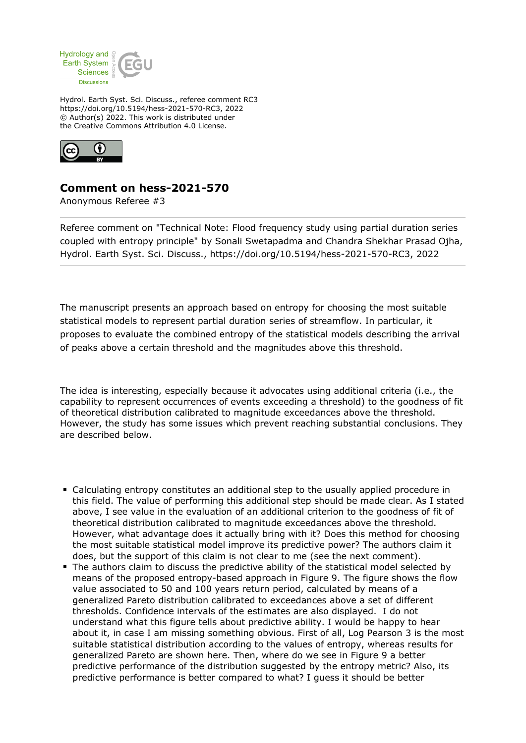

Hydrol. Earth Syst. Sci. Discuss., referee comment RC3 https://doi.org/10.5194/hess-2021-570-RC3, 2022 © Author(s) 2022. This work is distributed under the Creative Commons Attribution 4.0 License.



## **Comment on hess-2021-570**

Anonymous Referee #3

Referee comment on "Technical Note: Flood frequency study using partial duration series coupled with entropy principle" by Sonali Swetapadma and Chandra Shekhar Prasad Ojha, Hydrol. Earth Syst. Sci. Discuss., https://doi.org/10.5194/hess-2021-570-RC3, 2022

The manuscript presents an approach based on entropy for choosing the most suitable statistical models to represent partial duration series of streamflow. In particular, it proposes to evaluate the combined entropy of the statistical models describing the arrival of peaks above a certain threshold and the magnitudes above this threshold.

The idea is interesting, especially because it advocates using additional criteria (i.e., the capability to represent occurrences of events exceeding a threshold) to the goodness of fit of theoretical distribution calibrated to magnitude exceedances above the threshold. However, the study has some issues which prevent reaching substantial conclusions. They are described below.

- Calculating entropy constitutes an additional step to the usually applied procedure in this field. The value of performing this additional step should be made clear. As I stated above, I see value in the evaluation of an additional criterion to the goodness of fit of theoretical distribution calibrated to magnitude exceedances above the threshold. However, what advantage does it actually bring with it? Does this method for choosing the most suitable statistical model improve its predictive power? The authors claim it does, but the support of this claim is not clear to me (see the next comment).
- The authors claim to discuss the predictive ability of the statistical model selected by means of the proposed entropy-based approach in Figure 9. The figure shows the flow value associated to 50 and 100 years return period, calculated by means of a generalized Pareto distribution calibrated to exceedances above a set of different thresholds. Confidence intervals of the estimates are also displayed. I do not understand what this figure tells about predictive ability. I would be happy to hear about it, in case I am missing something obvious. First of all, Log Pearson 3 is the most suitable statistical distribution according to the values of entropy, whereas results for generalized Pareto are shown here. Then, where do we see in Figure 9 a better predictive performance of the distribution suggested by the entropy metric? Also, its predictive performance is better compared to what? I guess it should be better